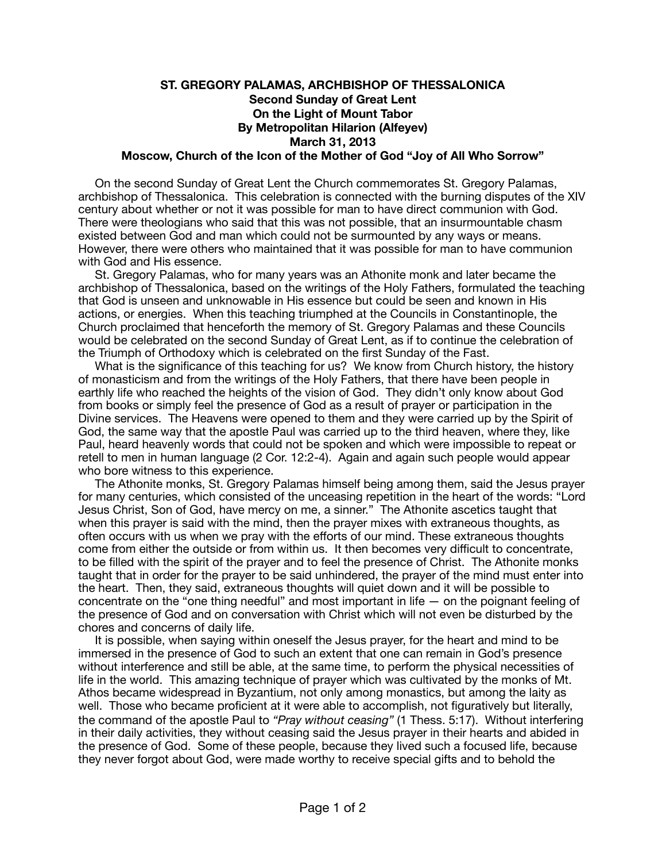## **ST. GREGORY PALAMAS, ARCHBISHOP OF THESSALONICA Second Sunday of Great Lent On the Light of Mount Tabor By Metropolitan Hilarion (Alfeyev) March 31, 2013 Moscow, Church of the Icon of the Mother of God "Joy of All Who Sorrow"**

 On the second Sunday of Great Lent the Church commemorates St. Gregory Palamas, archbishop of Thessalonica. This celebration is connected with the burning disputes of the XIV century about whether or not it was possible for man to have direct communion with God. There were theologians who said that this was not possible, that an insurmountable chasm existed between God and man which could not be surmounted by any ways or means. However, there were others who maintained that it was possible for man to have communion with God and His essence.

 St. Gregory Palamas, who for many years was an Athonite monk and later became the archbishop of Thessalonica, based on the writings of the Holy Fathers, formulated the teaching that God is unseen and unknowable in His essence but could be seen and known in His actions, or energies. When this teaching triumphed at the Councils in Constantinople, the Church proclaimed that henceforth the memory of St. Gregory Palamas and these Councils would be celebrated on the second Sunday of Great Lent, as if to continue the celebration of the Triumph of Orthodoxy which is celebrated on the first Sunday of the Fast.

 What is the significance of this teaching for us? We know from Church history, the history of monasticism and from the writings of the Holy Fathers, that there have been people in earthly life who reached the heights of the vision of God. They didn't only know about God from books or simply feel the presence of God as a result of prayer or participation in the Divine services. The Heavens were opened to them and they were carried up by the Spirit of God, the same way that the apostle Paul was carried up to the third heaven, where they, like Paul, heard heavenly words that could not be spoken and which were impossible to repeat or retell to men in human language (2 Cor. 12:2-4). Again and again such people would appear who bore witness to this experience.

 The Athonite monks, St. Gregory Palamas himself being among them, said the Jesus prayer for many centuries, which consisted of the unceasing repetition in the heart of the words: "Lord Jesus Christ, Son of God, have mercy on me, a sinner." The Athonite ascetics taught that when this prayer is said with the mind, then the prayer mixes with extraneous thoughts, as often occurs with us when we pray with the efforts of our mind. These extraneous thoughts come from either the outside or from within us. It then becomes very difficult to concentrate, to be filled with the spirit of the prayer and to feel the presence of Christ. The Athonite monks taught that in order for the prayer to be said unhindered, the prayer of the mind must enter into the heart. Then, they said, extraneous thoughts will quiet down and it will be possible to concentrate on the "one thing needful" and most important in life — on the poignant feeling of the presence of God and on conversation with Christ which will not even be disturbed by the chores and concerns of daily life.

 It is possible, when saying within oneself the Jesus prayer, for the heart and mind to be immersed in the presence of God to such an extent that one can remain in God's presence without interference and still be able, at the same time, to perform the physical necessities of life in the world. This amazing technique of prayer which was cultivated by the monks of Mt. Athos became widespread in Byzantium, not only among monastics, but among the laity as well. Those who became proficient at it were able to accomplish, not figuratively but literally, the command of the apostle Paul to *"Pray without ceasing"* (1 Thess. 5:17). Without interfering in their daily activities, they without ceasing said the Jesus prayer in their hearts and abided in the presence of God. Some of these people, because they lived such a focused life, because they never forgot about God, were made worthy to receive special gifts and to behold the